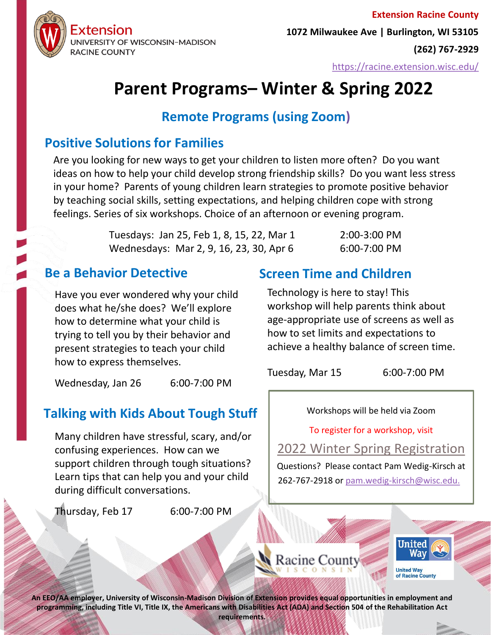

**Extension Racine County 1072 Milwaukee Ave | Burlington, WI 53105 (262) 767-2929**

<https://racine.extension.wisc.edu/>

# **Parent Programs– Winter & Spring 2022**

## **Remote Programs (using Zoom)**

## **Positive Solutions for Families**

Are you looking for new ways to get your children to listen more often? Do you want ideas on how to help your child develop strong friendship skills? Do you want less stress in your home? Parents of young children learn strategies to promote positive behavior by teaching social skills, setting expectations, and helping children cope with strong feelings. Series of six workshops. Choice of an afternoon or evening program.

| Tuesdays: Jan 25, Feb 1, 8, 15, 22, Mar 1 | 2:00-3:00 PM   |
|-------------------------------------------|----------------|
| Wednesdays: Mar 2, 9, 16, 23, 30, Apr 6   | $6:00-7:00$ PM |

Have you ever wondered why your child does what he/she does? We'll explore how to determine what your child is trying to tell you by their behavior and present strategies to teach your child how to express themselves.

Wednesday, Jan 26 6:00-7:00 PM

# **Talking with Kids About Tough Stuff**

Many children have stressful, scary, and/or confusing experiences. How can we support children through tough situations? Learn tips that can help you and your child during difficult conversations.

Thursday, Feb 17 6:00-7:00 PM

# **Be a Behavior Detective Screen Time and Children**

Technology is here to stay! This workshop will help parents think about age-appropriate use of screens as well as how to set limits and expectations to achieve a healthy balance of screen time.

Tuesday, Mar 15 6:00-7:00 PM

Workshops will be held via Zoom

To register for a workshop, visit

[2022 Winter Spring Registration](https://uwmadison.co1.qualtrics.com/jfe/form/SV_bDdrucwlrnQj8J8)

Questions? Please contact Pam Wedig-Kirsch at 262-767-2918 or [pam.wedig-kirsch@wisc.edu.](mailto:pam.wedig-kirsch@wisc.edu)





**An EEO/AA employer, University of Wisconsin-Madison Division of Extension provides equal opportunities in employment and programming, including Title VI, Title IX, the Americans with Disabilities Act (ADA) and Section 504 of the Rehabilitation Act requirements.**